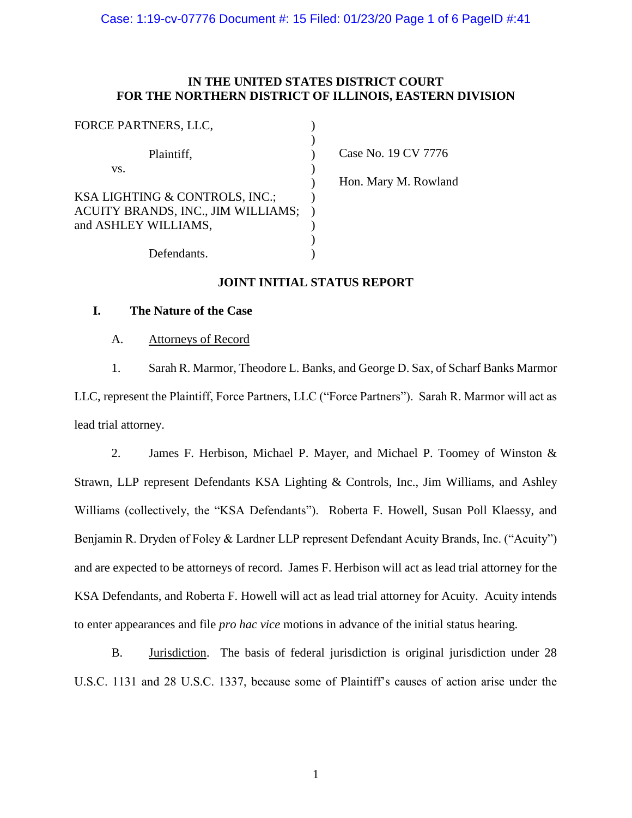# **IN THE UNITED STATES DISTRICT COURT FOR THE NORTHERN DISTRICT OF ILLINOIS, EASTERN DIVISION**

| FORCE PARTNERS, LLC,               |                      |
|------------------------------------|----------------------|
| Plaintiff,                         | Case No. 19 CV 7776  |
| VS.                                |                      |
|                                    | Hon. Mary M. Rowland |
| KSA LIGHTING & CONTROLS, INC.;     |                      |
| ACUITY BRANDS, INC., JIM WILLIAMS; |                      |
| and ASHLEY WILLIAMS,               |                      |
|                                    |                      |
| Defendants.                        |                      |

# **JOINT INITIAL STATUS REPORT**

# **I. The Nature of the Case**

A. Attorneys of Record

1. Sarah R. Marmor, Theodore L. Banks, and George D. Sax, of Scharf Banks Marmor LLC, represent the Plaintiff, Force Partners, LLC ("Force Partners"). Sarah R. Marmor will act as lead trial attorney.

2. James F. Herbison, Michael P. Mayer, and Michael P. Toomey of Winston & Strawn, LLP represent Defendants KSA Lighting & Controls, Inc., Jim Williams, and Ashley Williams (collectively, the "KSA Defendants"). Roberta F. Howell, Susan Poll Klaessy, and Benjamin R. Dryden of Foley & Lardner LLP represent Defendant Acuity Brands, Inc. ("Acuity") and are expected to be attorneys of record. James F. Herbison will act as lead trial attorney for the KSA Defendants, and Roberta F. Howell will act as lead trial attorney for Acuity. Acuity intends to enter appearances and file *pro hac vice* motions in advance of the initial status hearing.

B. Jurisdiction. The basis of federal jurisdiction is original jurisdiction under 28 U.S.C. 1131 and 28 U.S.C. 1337, because some of Plaintiff's causes of action arise under the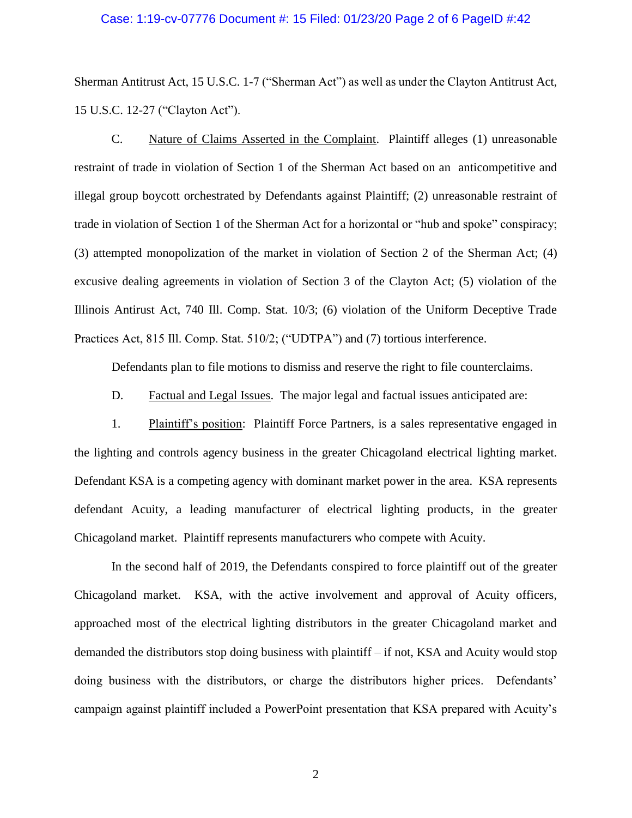## Case: 1:19-cv-07776 Document #: 15 Filed: 01/23/20 Page 2 of 6 PageID #:42

Sherman Antitrust Act, 15 U.S.C. 1-7 ("Sherman Act") as well as under the Clayton Antitrust Act, 15 U.S.C. 12-27 ("Clayton Act").

C. Nature of Claims Asserted in the Complaint. Plaintiff alleges (1) unreasonable restraint of trade in violation of Section 1 of the Sherman Act based on an anticompetitive and illegal group boycott orchestrated by Defendants against Plaintiff; (2) unreasonable restraint of trade in violation of Section 1 of the Sherman Act for a horizontal or "hub and spoke" conspiracy; (3) attempted monopolization of the market in violation of Section 2 of the Sherman Act; (4) excusive dealing agreements in violation of Section 3 of the Clayton Act; (5) violation of the Illinois Antirust Act, 740 Ill. Comp. Stat. 10/3; (6) violation of the Uniform Deceptive Trade Practices Act, 815 Ill. Comp. Stat. 510/2; ("UDTPA") and (7) tortious interference.

Defendants plan to file motions to dismiss and reserve the right to file counterclaims.

D. Factual and Legal Issues. The major legal and factual issues anticipated are:

1. Plaintiff's position: Plaintiff Force Partners, is a sales representative engaged in the lighting and controls agency business in the greater Chicagoland electrical lighting market. Defendant KSA is a competing agency with dominant market power in the area. KSA represents defendant Acuity, a leading manufacturer of electrical lighting products, in the greater Chicagoland market. Plaintiff represents manufacturers who compete with Acuity.

In the second half of 2019, the Defendants conspired to force plaintiff out of the greater Chicagoland market. KSA, with the active involvement and approval of Acuity officers, approached most of the electrical lighting distributors in the greater Chicagoland market and demanded the distributors stop doing business with plaintiff – if not, KSA and Acuity would stop doing business with the distributors, or charge the distributors higher prices. Defendants' campaign against plaintiff included a PowerPoint presentation that KSA prepared with Acuity's

2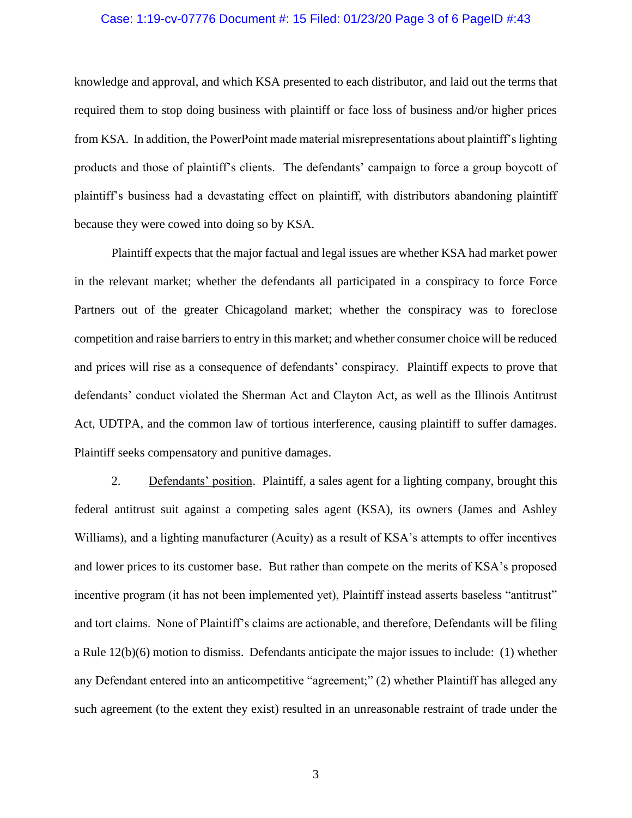## Case: 1:19-cv-07776 Document #: 15 Filed: 01/23/20 Page 3 of 6 PageID #:43

knowledge and approval, and which KSA presented to each distributor, and laid out the terms that required them to stop doing business with plaintiff or face loss of business and/or higher prices from KSA. In addition, the PowerPoint made material misrepresentations about plaintiff's lighting products and those of plaintiff's clients. The defendants' campaign to force a group boycott of plaintiff's business had a devastating effect on plaintiff, with distributors abandoning plaintiff because they were cowed into doing so by KSA.

Plaintiff expects that the major factual and legal issues are whether KSA had market power in the relevant market; whether the defendants all participated in a conspiracy to force Force Partners out of the greater Chicagoland market; whether the conspiracy was to foreclose competition and raise barriers to entry in this market; and whether consumer choice will be reduced and prices will rise as a consequence of defendants' conspiracy. Plaintiff expects to prove that defendants' conduct violated the Sherman Act and Clayton Act, as well as the Illinois Antitrust Act, UDTPA, and the common law of tortious interference, causing plaintiff to suffer damages. Plaintiff seeks compensatory and punitive damages.

2. Defendants' position. Plaintiff, a sales agent for a lighting company, brought this federal antitrust suit against a competing sales agent (KSA), its owners (James and Ashley Williams), and a lighting manufacturer (Acuity) as a result of KSA's attempts to offer incentives and lower prices to its customer base. But rather than compete on the merits of KSA's proposed incentive program (it has not been implemented yet), Plaintiff instead asserts baseless "antitrust" and tort claims. None of Plaintiff's claims are actionable, and therefore, Defendants will be filing a Rule 12(b)(6) motion to dismiss. Defendants anticipate the major issues to include: (1) whether any Defendant entered into an anticompetitive "agreement;" (2) whether Plaintiff has alleged any such agreement (to the extent they exist) resulted in an unreasonable restraint of trade under the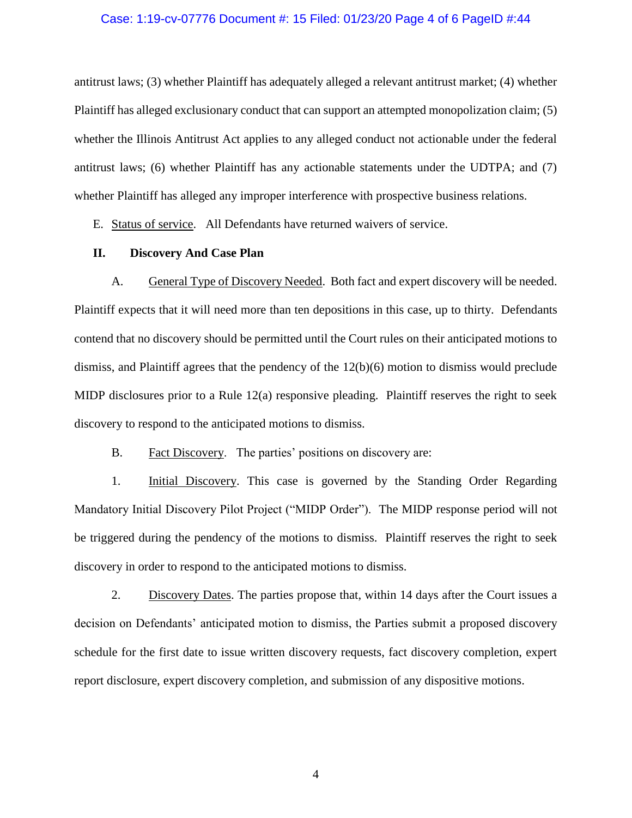## Case: 1:19-cv-07776 Document #: 15 Filed: 01/23/20 Page 4 of 6 PageID #:44

antitrust laws; (3) whether Plaintiff has adequately alleged a relevant antitrust market; (4) whether Plaintiff has alleged exclusionary conduct that can support an attempted monopolization claim; (5) whether the Illinois Antitrust Act applies to any alleged conduct not actionable under the federal antitrust laws; (6) whether Plaintiff has any actionable statements under the UDTPA; and (7) whether Plaintiff has alleged any improper interference with prospective business relations.

E. Status of service. All Defendants have returned waivers of service.

## **II. Discovery And Case Plan**

A. General Type of Discovery Needed. Both fact and expert discovery will be needed. Plaintiff expects that it will need more than ten depositions in this case, up to thirty. Defendants contend that no discovery should be permitted until the Court rules on their anticipated motions to dismiss, and Plaintiff agrees that the pendency of the 12(b)(6) motion to dismiss would preclude MIDP disclosures prior to a Rule 12(a) responsive pleading. Plaintiff reserves the right to seek discovery to respond to the anticipated motions to dismiss.

B. Fact Discovery. The parties' positions on discovery are:

1. Initial Discovery. This case is governed by the Standing Order Regarding Mandatory Initial Discovery Pilot Project ("MIDP Order"). The MIDP response period will not be triggered during the pendency of the motions to dismiss. Plaintiff reserves the right to seek discovery in order to respond to the anticipated motions to dismiss.

2. Discovery Dates. The parties propose that, within 14 days after the Court issues a decision on Defendants' anticipated motion to dismiss, the Parties submit a proposed discovery schedule for the first date to issue written discovery requests, fact discovery completion, expert report disclosure, expert discovery completion, and submission of any dispositive motions.

4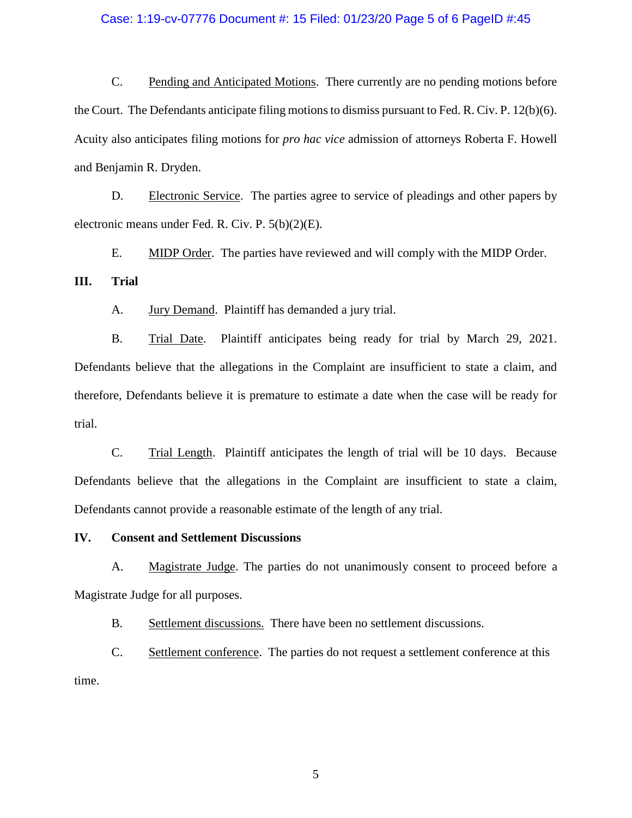## Case: 1:19-cv-07776 Document #: 15 Filed: 01/23/20 Page 5 of 6 PageID #:45

C. Pending and Anticipated Motions. There currently are no pending motions before the Court. The Defendants anticipate filing motions to dismiss pursuant to Fed. R. Civ. P. 12(b)(6). Acuity also anticipates filing motions for *pro hac vice* admission of attorneys Roberta F. Howell and Benjamin R. Dryden.

D. Electronic Service. The parties agree to service of pleadings and other papers by electronic means under Fed. R. Civ. P. 5(b)(2)(E).

E. MIDP Order. The parties have reviewed and will comply with the MIDP Order.

## **III. Trial**

A. Jury Demand. Plaintiff has demanded a jury trial.

B. Trial Date. Plaintiff anticipates being ready for trial by March 29, 2021. Defendants believe that the allegations in the Complaint are insufficient to state a claim, and therefore, Defendants believe it is premature to estimate a date when the case will be ready for trial.

C. Trial Length. Plaintiff anticipates the length of trial will be 10 days. Because Defendants believe that the allegations in the Complaint are insufficient to state a claim, Defendants cannot provide a reasonable estimate of the length of any trial.

# **IV. Consent and Settlement Discussions**

A. Magistrate Judge. The parties do not unanimously consent to proceed before a Magistrate Judge for all purposes.

B. Settlement discussions. There have been no settlement discussions.

C. Settlement conference. The parties do not request a settlement conference at this time.

5